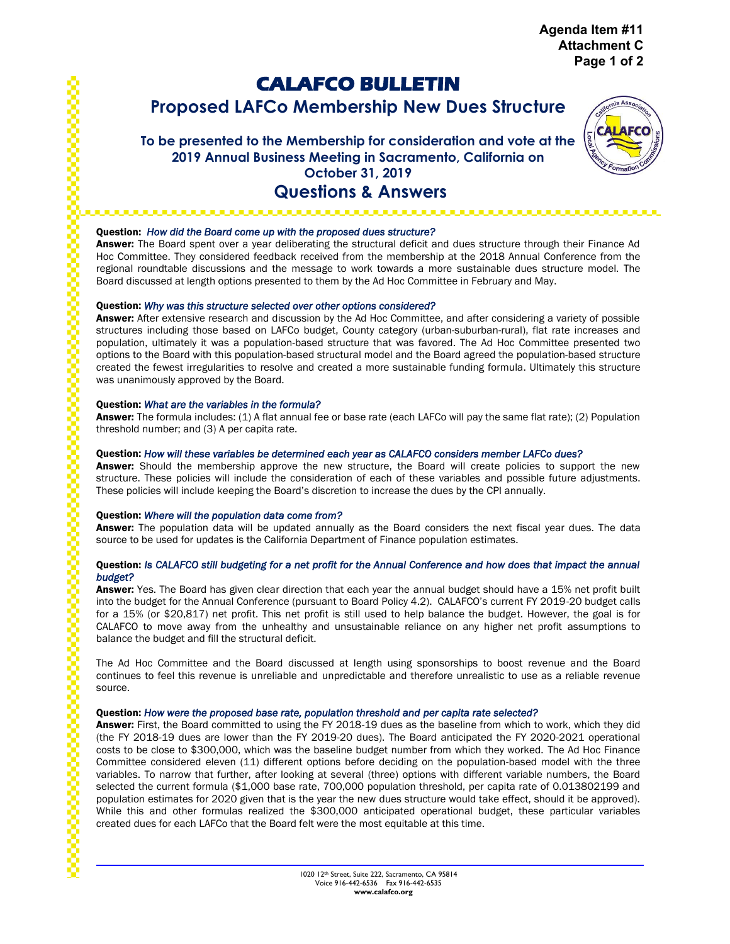**Agenda Item #11 Attachment C Page 1 of 2**

# **CALAFCO BULLETIN**

**Proposed LAFCo Membership New Dues Structure**

# **To be presented to the Membership for consideration and vote at the 2019 Annual Business Meeting in Sacramento, California on October 31, 2019 Questions & Answers**



# Question: *How did the Board come up with the proposed dues structure?*   $\sim$

. . . . . . . . . .

Answer: The Board spent over a year deliberating the structural deficit and dues structure through their Finance Ad Hoc Committee. They considered feedback received from the membership at the 2018 Annual Conference from the regional roundtable discussions and the message to work towards a more sustainable dues structure model. The Board discussed at length options presented to them by the Ad Hoc Committee in February and May.

# Question: *Why was this structure selected over other options considered?*

Answer: After extensive research and discussion by the Ad Hoc Committee, and after considering a variety of possible structures including those based on LAFCo budget, County category (urban-suburban-rural), flat rate increases and population, ultimately it was a population-based structure that was favored. The Ad Hoc Committee presented two options to the Board with this population-based structural model and the Board agreed the population-based structure created the fewest irregularities to resolve and created a more sustainable funding formula. Ultimately this structure was unanimously approved by the Board.

#### Question: *What are the variables in the formula?*

Answer: The formula includes: (1) A flat annual fee or base rate (each LAFCo will pay the same flat rate); (2) Population threshold number; and (3) A per capita rate.

# Question: *How will these variables be determined each year as CALAFCO considers member LAFCo dues?*

Answer: Should the membership approve the new structure, the Board will create policies to support the new structure. These policies will include the consideration of each of these variables and possible future adjustments. These policies will include keeping the Board's discretion to increase the dues by the CPI annually.

#### Question: *Where will the population data come from?*

Answer: The population data will be updated annually as the Board considers the next fiscal year dues. The data source to be used for updates is the California Department of Finance population estimates.

# Question: *Is CALAFCO still budgeting for a net profit for the Annual Conference and how does that impact the annual budget?*

Answer: Yes. The Board has given clear direction that each year the annual budget should have a 15% net profit built into the budget for the Annual Conference (pursuant to Board Policy 4.2). CALAFCO's current FY 2019-20 budget calls for a 15% (or \$20,817) net profit. This net profit is still used to help balance the budget. However, the goal is for CALAFCO to move away from the unhealthy and unsustainable reliance on any higher net profit assumptions to balance the budget and fill the structural deficit.

The Ad Hoc Committee and the Board discussed at length using sponsorships to boost revenue and the Board continues to feel this revenue is unreliable and unpredictable and therefore unrealistic to use as a reliable revenue source.

#### Question: *How were the proposed base rate, population threshold and per capita rate selected?*

Answer: First, the Board committed to using the FY 2018-19 dues as the baseline from which to work, which they did (the FY 2018-19 dues are lower than the FY 2019-20 dues). The Board anticipated the FY 2020-2021 operational costs to be close to \$300,000, which was the baseline budget number from which they worked. The Ad Hoc Finance Committee considered eleven (11) different options before deciding on the population-based model with the three variables. To narrow that further, after looking at several (three) options with different variable numbers, the Board selected the current formula (\$1,000 base rate, 700,000 population threshold, per capita rate of 0.013802199 and population estimates for 2020 given that is the year the new dues structure would take effect, should it be approved). While this and other formulas realized the \$300,000 anticipated operational budget, these particular variables created dues for each LAFCo that the Board felt were the most equitable at this time.